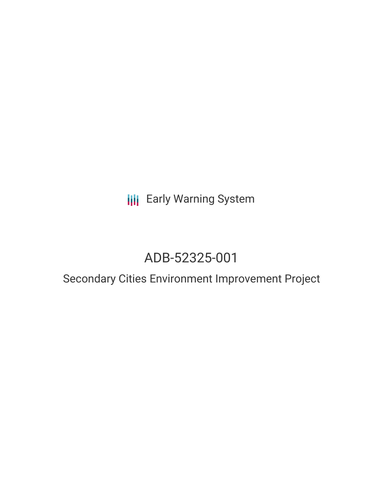## **III** Early Warning System

# ADB-52325-001

## Secondary Cities Environment Improvement Project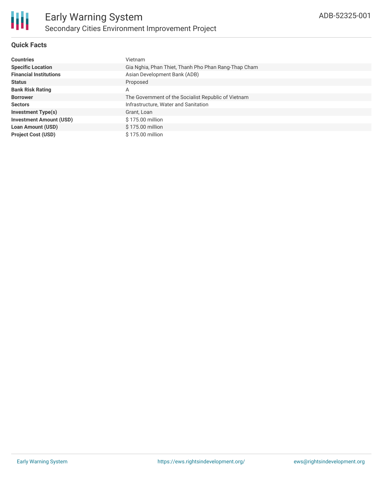

#### **Quick Facts**

| <b>Countries</b>               | Vietnam                                              |
|--------------------------------|------------------------------------------------------|
| <b>Specific Location</b>       | Gia Nghia, Phan Thiet, Thanh Pho Phan Rang-Thap Cham |
| <b>Financial Institutions</b>  | Asian Development Bank (ADB)                         |
| <b>Status</b>                  | Proposed                                             |
| <b>Bank Risk Rating</b>        | A                                                    |
| <b>Borrower</b>                | The Government of the Socialist Republic of Vietnam  |
| <b>Sectors</b>                 | Infrastructure, Water and Sanitation                 |
| <b>Investment Type(s)</b>      | Grant, Loan                                          |
| <b>Investment Amount (USD)</b> | \$175.00 million                                     |
| <b>Loan Amount (USD)</b>       | \$175.00 million                                     |
| <b>Project Cost (USD)</b>      | \$175.00 million                                     |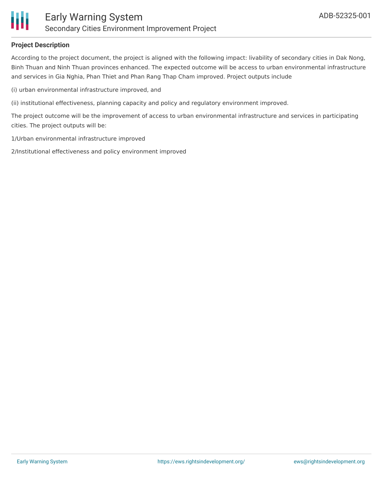

#### **Project Description**

According to the project document, the project is aligned with the following impact: livability of secondary cities in Dak Nong, Binh Thuan and Ninh Thuan provinces enhanced. The expected outcome will be access to urban environmental infrastructure and services in Gia Nghia, Phan Thiet and Phan Rang Thap Cham improved. Project outputs include

(i) urban environmental infrastructure improved, and

(ii) institutional effectiveness, planning capacity and policy and regulatory environment improved.

The project outcome will be the improvement of access to urban environmental infrastructure and services in participating cities. The project outputs will be:

1/Urban environmental infrastructure improved

2/Institutional effectiveness and policy environment improved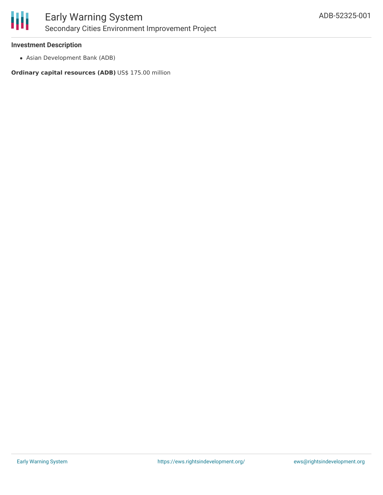

#### **Investment Description**

Asian Development Bank (ADB)

**Ordinary capital resources (ADB)** US\$ 175.00 million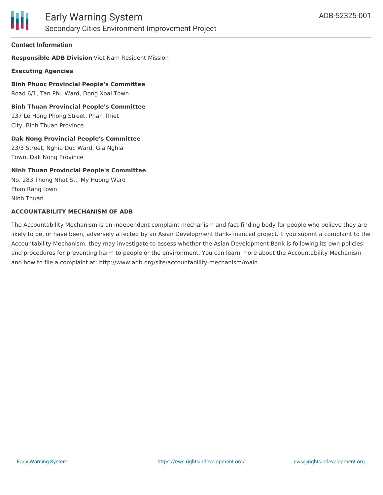

#### **Contact Information**

**Responsible ADB Division** Viet Nam Resident Mission

**Executing Agencies**

**Binh Phuoc Provincial People's Committee** Road 6/1, Tan Phu Ward, Dong Xoai Town

**Binh Thuan Provincial People's Committee** 137 Le Hong Phong Street, Phan Thiet City, Binh Thuan Province

**Dak Nong Provincial People's Committee**

23/3 Street, Nghia Duc Ward, Gia Nghia Town, Dak Nong Province

#### **Ninh Thuan Provincial People's Committee**

No. 283 Thong Nhat St., My Huong Ward Phan Rang town Ninh Thuan

#### **ACCOUNTABILITY MECHANISM OF ADB**

The Accountability Mechanism is an independent complaint mechanism and fact-finding body for people who believe they are likely to be, or have been, adversely affected by an Asian Development Bank-financed project. If you submit a complaint to the Accountability Mechanism, they may investigate to assess whether the Asian Development Bank is following its own policies and procedures for preventing harm to people or the environment. You can learn more about the Accountability Mechanism and how to file a complaint at: http://www.adb.org/site/accountability-mechanism/main